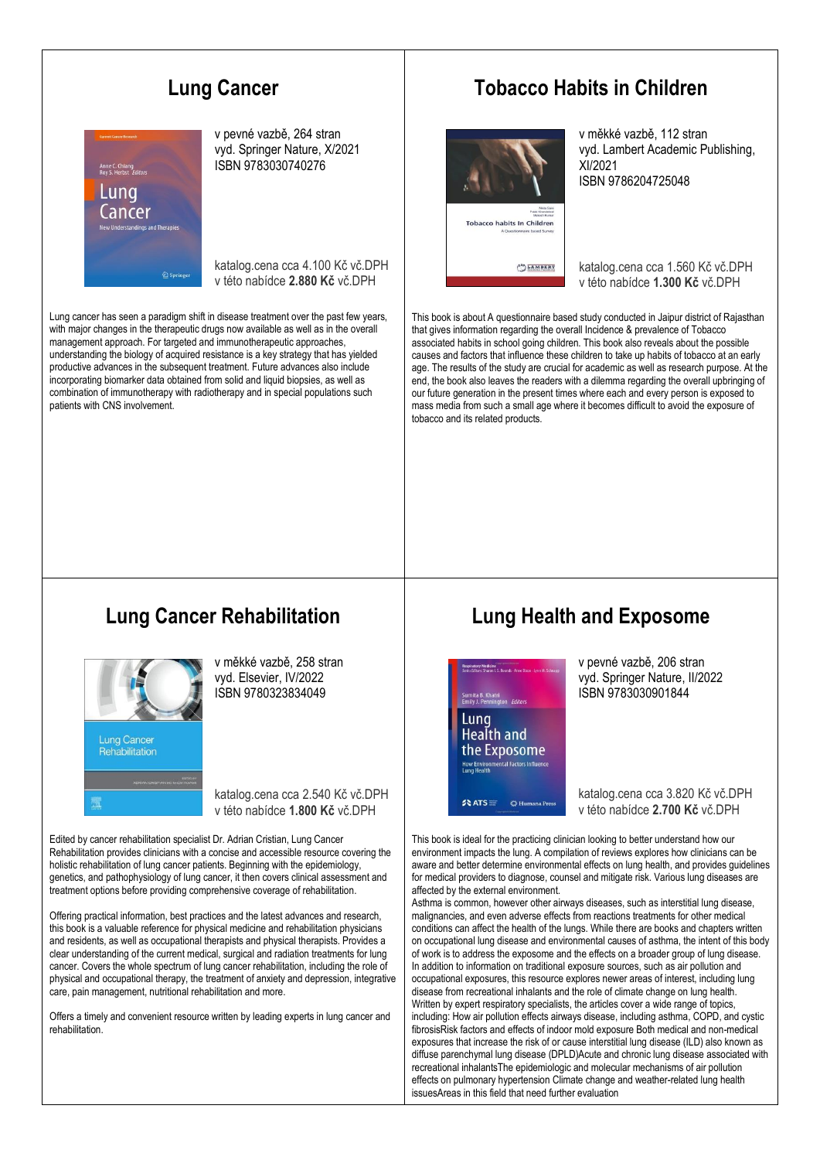# **Lung Cancer**



v pevné vazbě, 264 stran vyd. Springer Nature, X/2021 ISBN 9783030740276

katalog.cena cca 4.100 Kč vč.DPH v této nabídce **2.880 Kč** vč.DPH

Lung cancer has seen a paradigm shift in disease treatment over the past few years, with major changes in the therapeutic drugs now available as well as in the overall management approach. For targeted and immunotherapeutic approaches, understanding the biology of acquired resistance is a key strategy that has yielded productive advances in the subsequent treatment. Future advances also include incorporating biomarker data obtained from solid and liquid biopsies, as well as combination of immunotherapy with radiotherapy and in special populations such patients with CNS involvement.

### **Tobacco Habits in Children**



v měkké vazbě, 112 stran vyd. Lambert Academic Publishing, XI/2021 ISBN 9786204725048

katalog.cena cca 1.560 Kč vč.DPH v této nabídce **1.300 Kč** vč.DPH

This book is about A questionnaire based study conducted in Jaipur district of Rajasthan that gives information regarding the overall Incidence & prevalence of Tobacco associated habits in school going children. This book also reveals about the possible causes and factors that influence these children to take up habits of tobacco at an early age. The results of the study are crucial for academic as well as research purpose. At the end, the book also leaves the readers with a dilemma regarding the overall upbringing of our future generation in the present times where each and every person is exposed to mass media from such a small age where it becomes difficult to avoid the exposure of tobacco and its related products.

# **Lung Cancer Rehabilitation**



v měkké vazbě, 258 stran vyd. Elsevier, IV/2022 ISBN 9780323834049

katalog.cena cca 2.540 Kč vč.DPH v této nabídce **1.800 Kč** vč.DPH

Edited by cancer rehabilitation specialist Dr. Adrian Cristian, Lung Cancer Rehabilitation provides clinicians with a concise and accessible resource covering the holistic rehabilitation of lung cancer patients. Beginning with the epidemiology, genetics, and pathophysiology of lung cancer, it then covers clinical assessment and treatment options before providing comprehensive coverage of rehabilitation.

Offering practical information, best practices and the latest advances and research, this book is a valuable reference for physical medicine and rehabilitation physicians and residents, as well as occupational therapists and physical therapists. Provides a clear understanding of the current medical, surgical and radiation treatments for lung cancer. Covers the whole spectrum of lung cancer rehabilitation, including the role of physical and occupational therapy, the treatment of anxiety and depression, integrative care, pain management, nutritional rehabilitation and more.

Offers a timely and convenient resource written by leading experts in lung cancer and rehabilitation.

# **Lung Health and Exposome**



v pevné vazbě, 206 stran vyd. Springer Nature, II/2022 ISBN 9783030901844

katalog.cena cca 3.820 Kč vč.DPH v této nabídce **2.700 Kč** vč.DPH

This book is ideal for the practicing clinician looking to better understand how our environment impacts the lung. A compilation of reviews explores how clinicians can be aware and better determine environmental effects on lung health, and provides guidelines for medical providers to diagnose, counsel and mitigate risk. Various lung diseases are affected by the external environment.

Asthma is common, however other airways diseases, such as interstitial lung disease, malignancies, and even adverse effects from reactions treatments for other medical conditions can affect the health of the lungs. While there are books and chapters written on occupational lung disease and environmental causes of asthma, the intent of this body of work is to address the exposome and the effects on a broader group of lung disease. In addition to information on traditional exposure sources, such as air pollution and occupational exposures, this resource explores newer areas of interest, including lung disease from recreational inhalants and the role of climate change on lung health. Written by expert respiratory specialists, the articles cover a wide range of topics, including: How air pollution effects airways disease, including asthma, COPD, and cystic fibrosisRisk factors and effects of indoor mold exposure Both medical and non-medical exposures that increase the risk of or cause interstitial lung disease (ILD) also known as diffuse parenchymal lung disease (DPLD)Acute and chronic lung disease associated with recreational inhalantsThe epidemiologic and molecular mechanisms of air pollution effects on pulmonary hypertension Climate change and weather-related lung health issuesAreas in this field that need further evaluation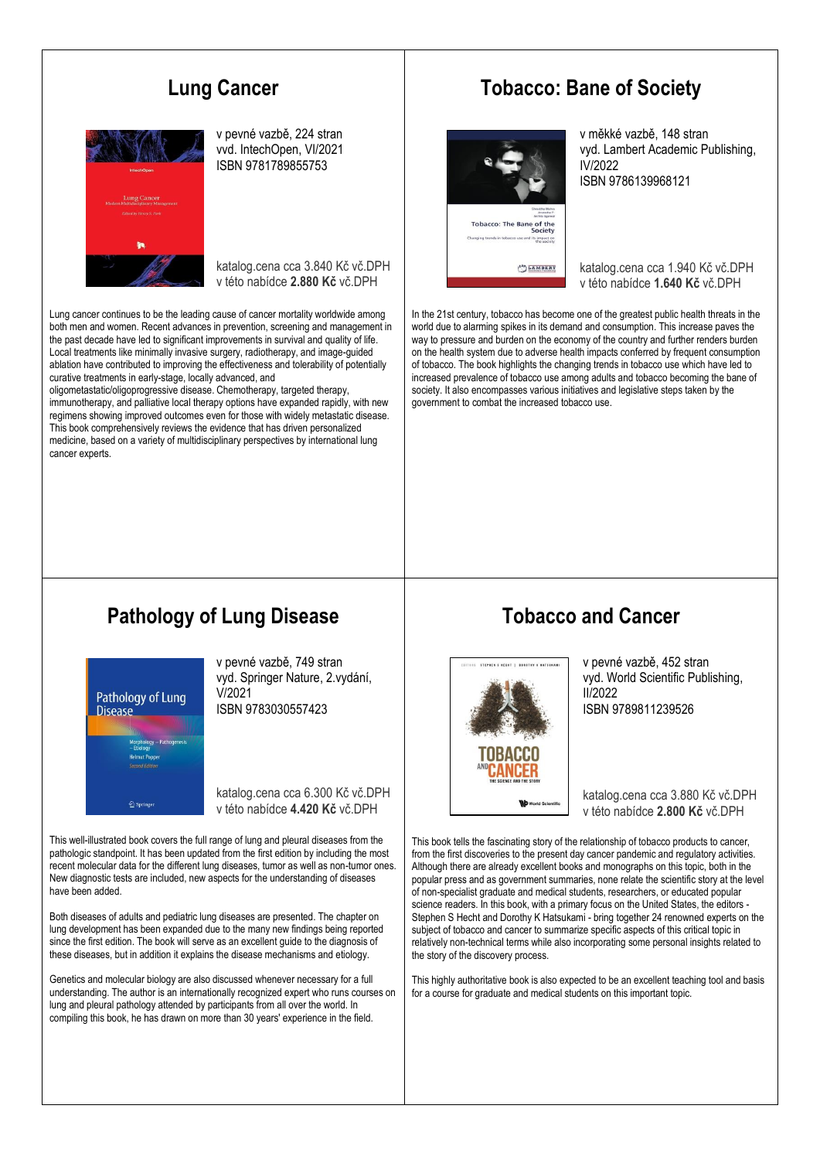## **Lung Cancer**



v pevné vazbě, 224 stran vvd. IntechOpen, VI/2021 ISBN 9781789855753

katalog.cena cca 3.840 Kč vč.DPH v této nabídce **2.880 Kč** vč.DPH

Lung cancer continues to be the leading cause of cancer mortality worldwide among both men and women. Recent advances in prevention, screening and management in the past decade have led to significant improvements in survival and quality of life. Local treatments like minimally invasive surgery, radiotherapy, and image-guided ablation have contributed to improving the effectiveness and tolerability of potentially curative treatments in early-stage, locally advanced, and

oligometastatic/oligoprogressive disease. Chemotherapy, targeted therapy, immunotherapy, and palliative local therapy options have expanded rapidly, with new regimens showing improved outcomes even for those with widely metastatic disease. This book comprehensively reviews the evidence that has driven personalized medicine, based on a variety of multidisciplinary perspectives by international lung cancer experts.

#### **Tobacco: Bane of Society**



v měkké vazbě, 148 stran vyd. Lambert Academic Publishing, IV/2022 ISBN 9786139968121

katalog.cena cca 1.940 Kč vč.DPH v této nabídce **1.640 Kč** vč.DPH

In the 21st century, tobacco has become one of the greatest public health threats in the world due to alarming spikes in its demand and consumption. This increase paves the way to pressure and burden on the economy of the country and further renders burden on the health system due to adverse health impacts conferred by frequent consumption of tobacco. The book highlights the changing trends in tobacco use which have led to increased prevalence of tobacco use among adults and tobacco becoming the bane of society. It also encompasses various initiatives and legislative steps taken by the government to combat the increased tobacco use.

## **Pathology of Lung Disease**



v pevné vazbě, 749 stran vyd. Springer Nature, 2.vydání, V/2021 ISBN 9783030557423

katalog.cena cca 6.300 Kč vč.DPH v této nabídce **4.420 Kč** vč.DPH

This well-illustrated book covers the full range of lung and pleural diseases from the pathologic standpoint. It has been updated from the first edition by including the most recent molecular data for the different lung diseases, tumor as well as non-tumor ones. New diagnostic tests are included, new aspects for the understanding of diseases have been added.

Both diseases of adults and pediatric lung diseases are presented. The chapter on lung development has been expanded due to the many new findings being reported since the first edition. The book will serve as an excellent guide to the diagnosis of these diseases, but in addition it explains the disease mechanisms and etiology.

Genetics and molecular biology are also discussed whenever necessary for a full understanding. The author is an internationally recognized expert who runs courses on lung and pleural pathology attended by participants from all over the world. In compiling this book, he has drawn on more than 30 years' experience in the field.

#### **Tobacco and Cancer**



v pevné vazbě, 452 stran vyd. World Scientific Publishing, II/2022 ISBN 9789811239526

katalog.cena cca 3.880 Kč vč.DPH v této nabídce **2.800 Kč** vč.DPH

This book tells the fascinating story of the relationship of tobacco products to cancer, from the first discoveries to the present day cancer pandemic and regulatory activities. Although there are already excellent books and monographs on this topic, both in the popular press and as government summaries, none relate the scientific story at the level of non-specialist graduate and medical students, researchers, or educated popular science readers. In this book, with a primary focus on the United States, the editors Stephen S Hecht and Dorothy K Hatsukami - bring together 24 renowned experts on the subject of tobacco and cancer to summarize specific aspects of this critical topic in relatively non-technical terms while also incorporating some personal insights related to the story of the discovery process.

This highly authoritative book is also expected to be an excellent teaching tool and basis for a course for graduate and medical students on this important topic.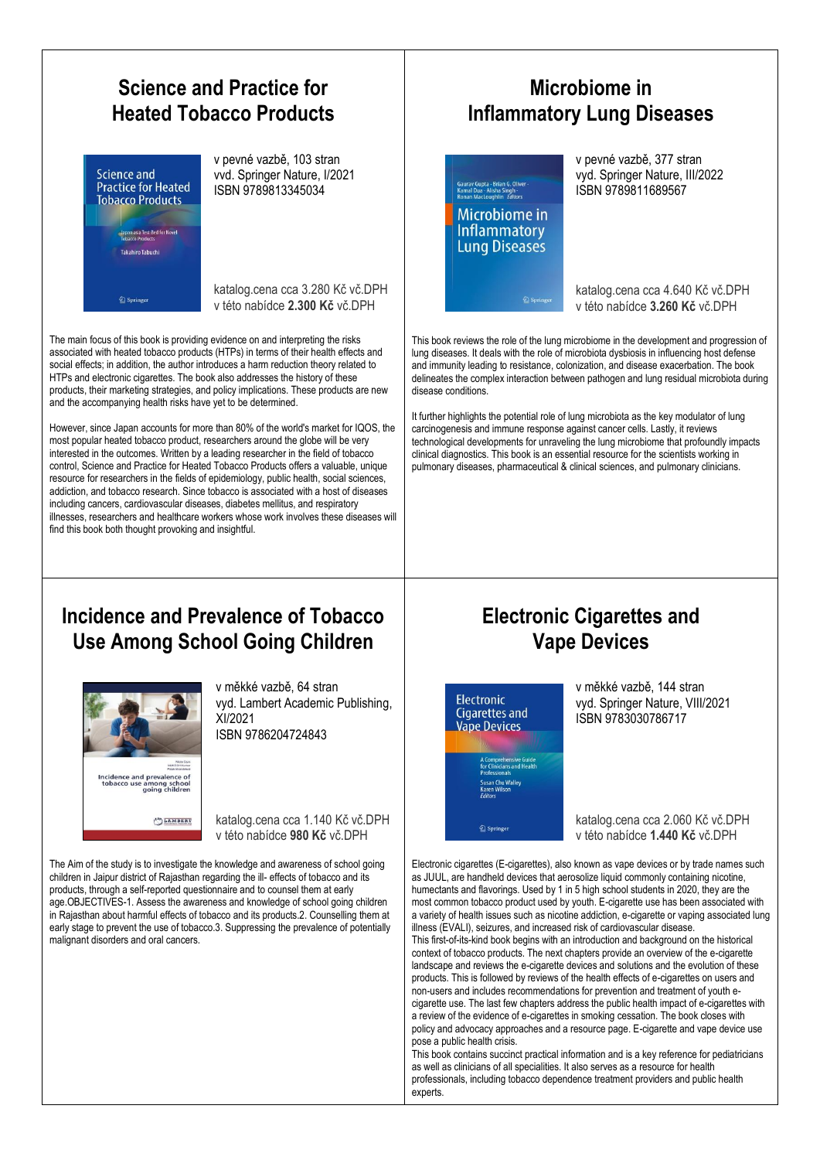